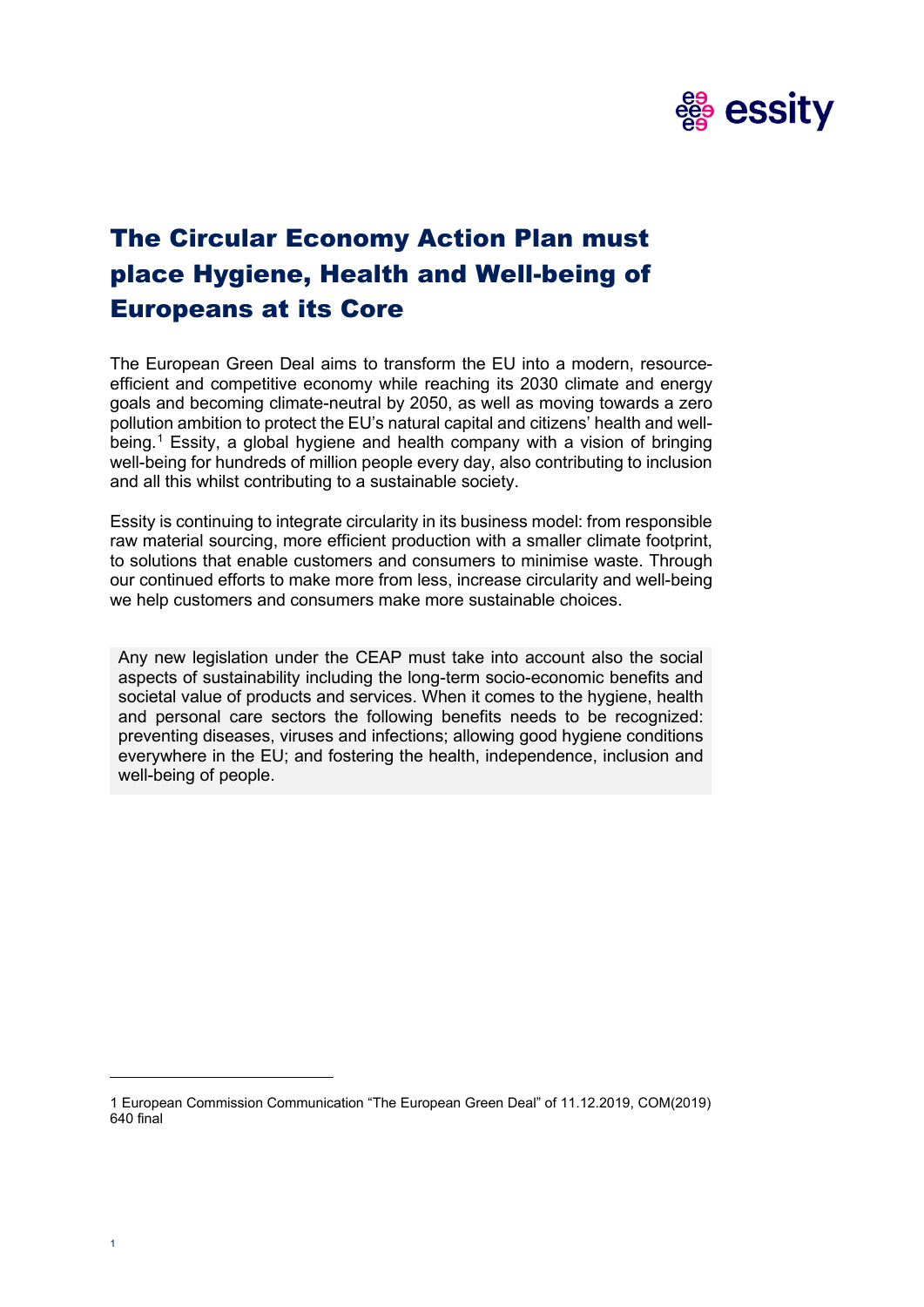

# The Circular Economy Action Plan must place Hygiene, Health and Well-being of Europeans at its Core

The European Green Deal aims to transform the EU into a modern, resourceefficient and competitive economy while reaching its 2030 climate and energy goals and becoming climate-neutral by 2050, as well as moving towards a zero pollution ambition to protect the EU's natural capital and citizens' health and wellbeing. [1](#page-0-0) Essity, a global hygiene and health company with a vision of bringing well-being for hundreds of million people every day, also contributing to inclusion and all this whilst contributing to a sustainable society.

Essity is continuing to integrate circularity in its business model: from responsible raw material sourcing, more efficient production with a smaller climate footprint, to solutions that enable customers and consumers to minimise waste. Through our continued efforts to make more from less, increase circularity and well-being we help customers and consumers make more sustainable choices.

Any new legislation under the CEAP must take into account also the social aspects of sustainability including the long-term socio-economic benefits and societal value of products and services. When it comes to the hygiene, health and personal care sectors the following benefits needs to be recognized: preventing diseases, viruses and infections; allowing good hygiene conditions everywhere in the EU; and fostering the health, independence, inclusion and well-being of people.

<span id="page-0-0"></span><sup>1</sup> European Commission Communication "The European Green Deal" of 11.12.2019, COM(2019) 640 final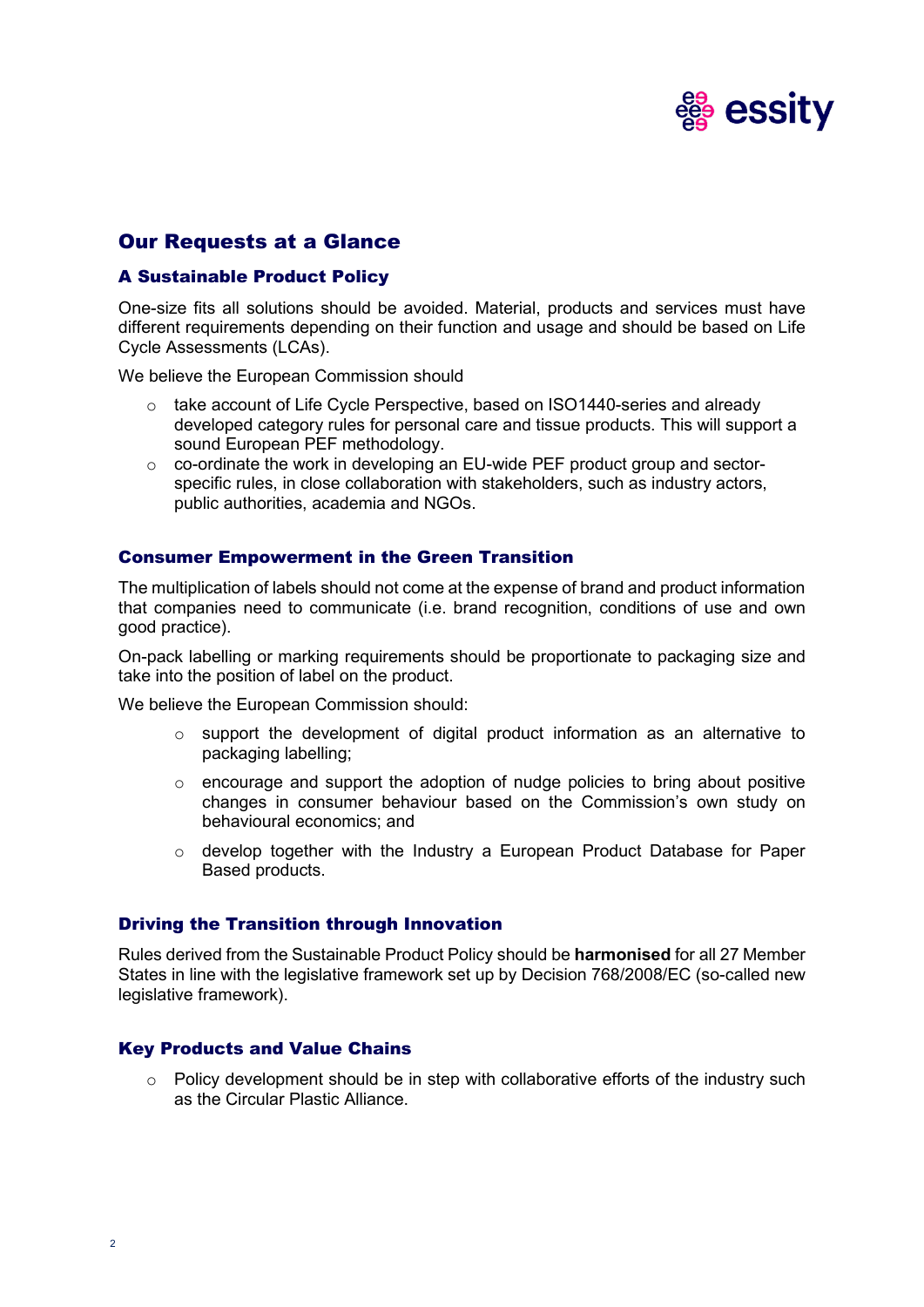

# Our Requests at a Glance

# A Sustainable Product Policy

One-size fits all solutions should be avoided. Material, products and services must have different requirements depending on their function and usage and should be based on Life Cycle Assessments (LCAs).

We believe the European Commission should

- $\circ$  take account of Life Cycle Perspective, based on ISO1440-series and already developed category rules for personal care and tissue products. This will support a sound European PEF methodology.
- o co-ordinate the work in developing an EU-wide PEF product group and sectorspecific rules, in close collaboration with stakeholders, such as industry actors, public authorities, academia and NGOs.

# Consumer Empowerment in the Green Transition

The multiplication of labels should not come at the expense of brand and product information that companies need to communicate (i.e. brand recognition, conditions of use and own good practice).

On-pack labelling or marking requirements should be proportionate to packaging size and take into the position of label on the product.

We believe the European Commission should:

- o support the development of digital product information as an alternative to packaging labelling;
- $\circ$  encourage and support the adoption of nudge policies to bring about positive changes in consumer behaviour based on the Commission's own study on behavioural economics; and
- o develop together with the Industry a European Product Database for Paper Based products.

#### Driving the Transition through Innovation

Rules derived from the Sustainable Product Policy should be **harmonised** for all 27 Member States in line with the legislative framework set up by Decision 768/2008/EC (so-called new legislative framework).

#### Key Products and Value Chains

 $\circ$  Policy development should be in step with collaborative efforts of the industry such as the Circular Plastic Alliance.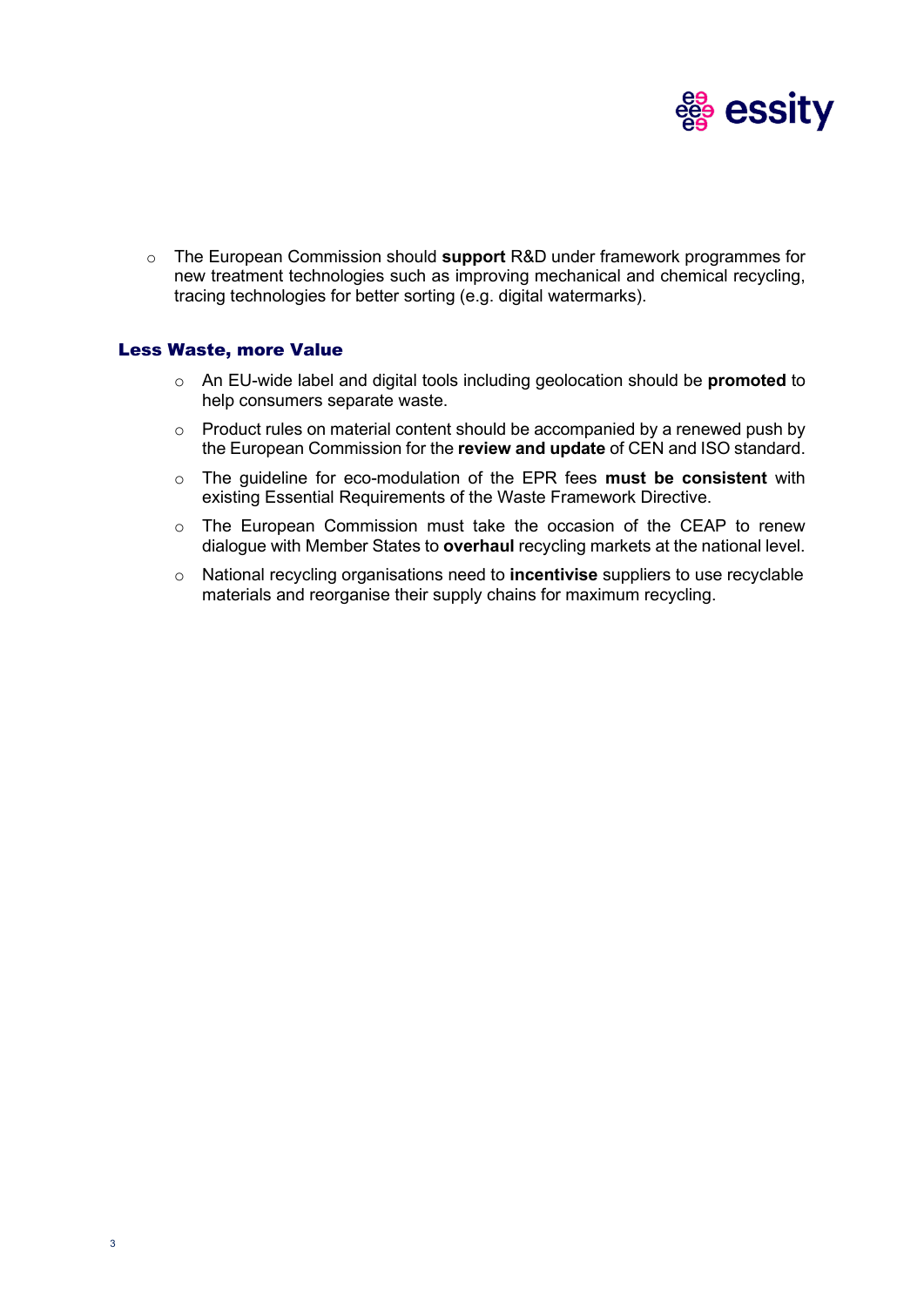

o The European Commission should **support** R&D under framework programmes for new treatment technologies such as improving mechanical and chemical recycling, tracing technologies for better sorting (e.g. digital watermarks).

# Less Waste, more Value

- o An EU-wide label and digital tools including geolocation should be **promoted** to help consumers separate waste.
- o Product rules on material content should be accompanied by a renewed push by the European Commission for the **review and update** of CEN and ISO standard.
- o The guideline for eco-modulation of the EPR fees **must be consistent** with existing Essential Requirements of the Waste Framework Directive.
- $\circ$  The European Commission must take the occasion of the CEAP to renew dialogue with Member States to **overhaul** recycling markets at the national level.
- o National recycling organisations need to **incentivise** suppliers to use recyclable materials and reorganise their supply chains for maximum recycling.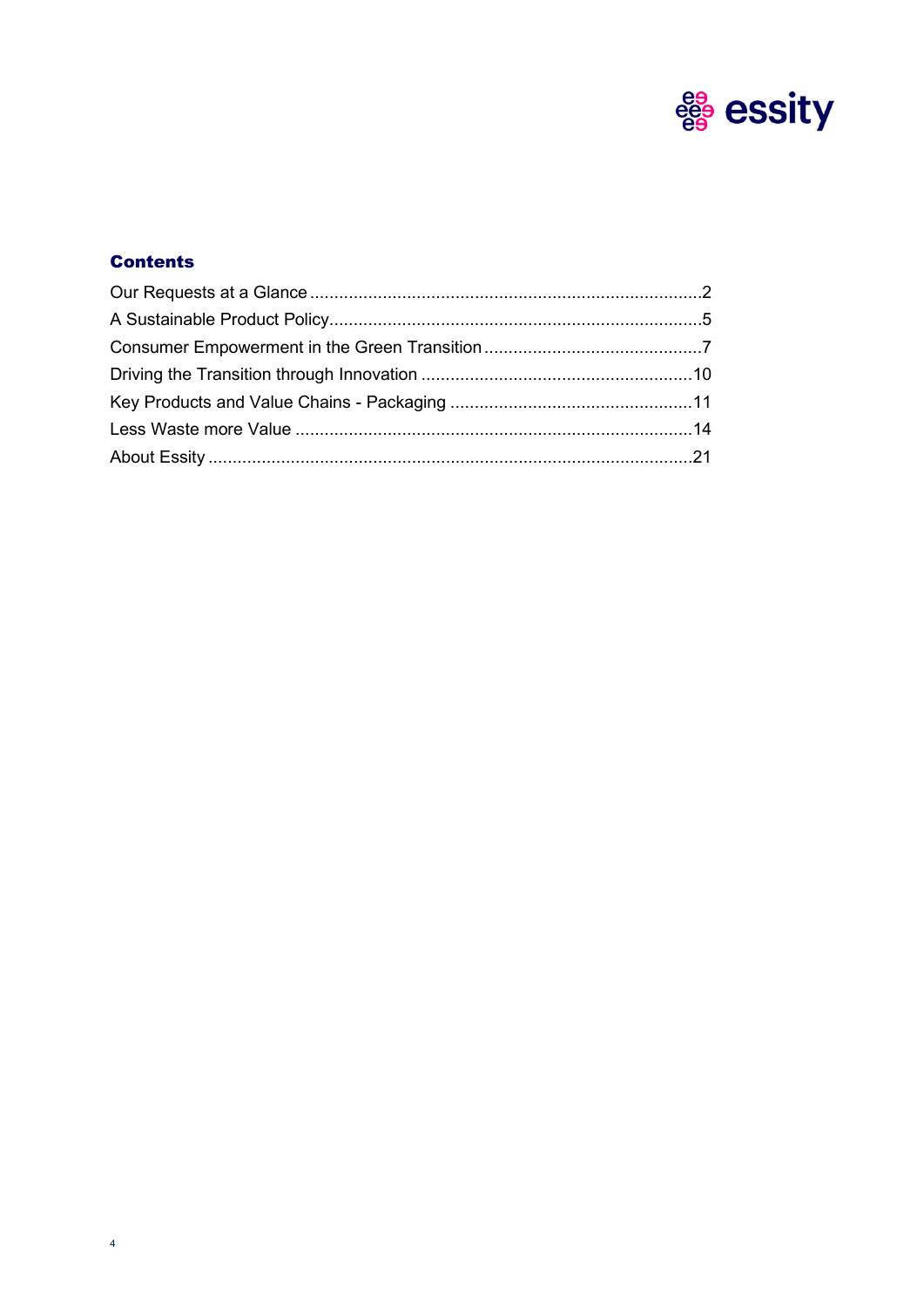

# **Contents**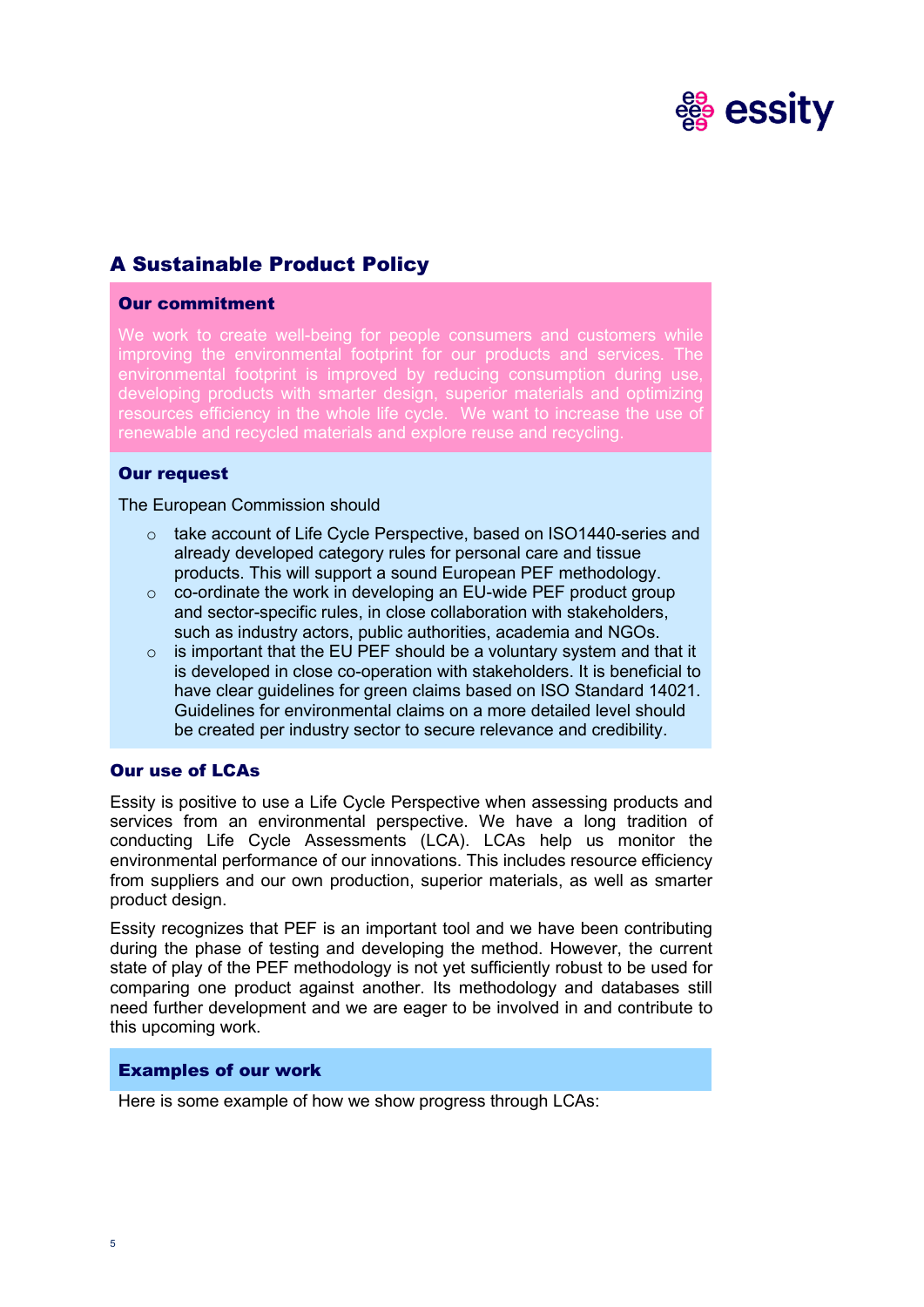

# A Sustainable Product Policy

# Our commitment

We work to create well-being for people consumers and customers while improving the environmental footprint for our products and services. The environmental footprint is improved by reducing consumption during use, developing products with smarter design, superior materials and optimizing resources efficiency in the whole life cycle. We want to increase the use of renewable and recycled materials and explore reuse and recycling.

# Our request

The European Commission should

- o take account of Life Cycle Perspective, based on ISO1440-series and already developed category rules for personal care and tissue products. This will support a sound European PEF methodology.
- $\circ$  co-ordinate the work in developing an EU-wide PEF product group and sector-specific rules, in close collaboration with stakeholders, such as industry actors, public authorities, academia and NGOs.
- $\circ$  is important that the EU PEF should be a voluntary system and that it is developed in close co-operation with stakeholders. It is beneficial to have clear guidelines for green claims based on ISO Standard 14021. Guidelines for environmental claims on a more detailed level should be created per industry sector to secure relevance and credibility.

### Our use of LCAs

Essity is positive to use a Life Cycle Perspective when assessing products and services from an environmental perspective. We have a long tradition of conducting Life Cycle Assessments (LCA). LCAs help us monitor the environmental performance of our innovations. This includes resource efficiency from suppliers and our own production, superior materials, as well as smarter product design.

Essity recognizes that PEF is an important tool and we have been contributing during the phase of testing and developing the method. However, the current state of play of the PEF methodology is not yet sufficiently robust to be used for comparing one product against another. Its methodology and databases still need further development and we are eager to be involved in and contribute to this upcoming work.

#### Examples of our work

Here is some example of how we show progress through LCAs: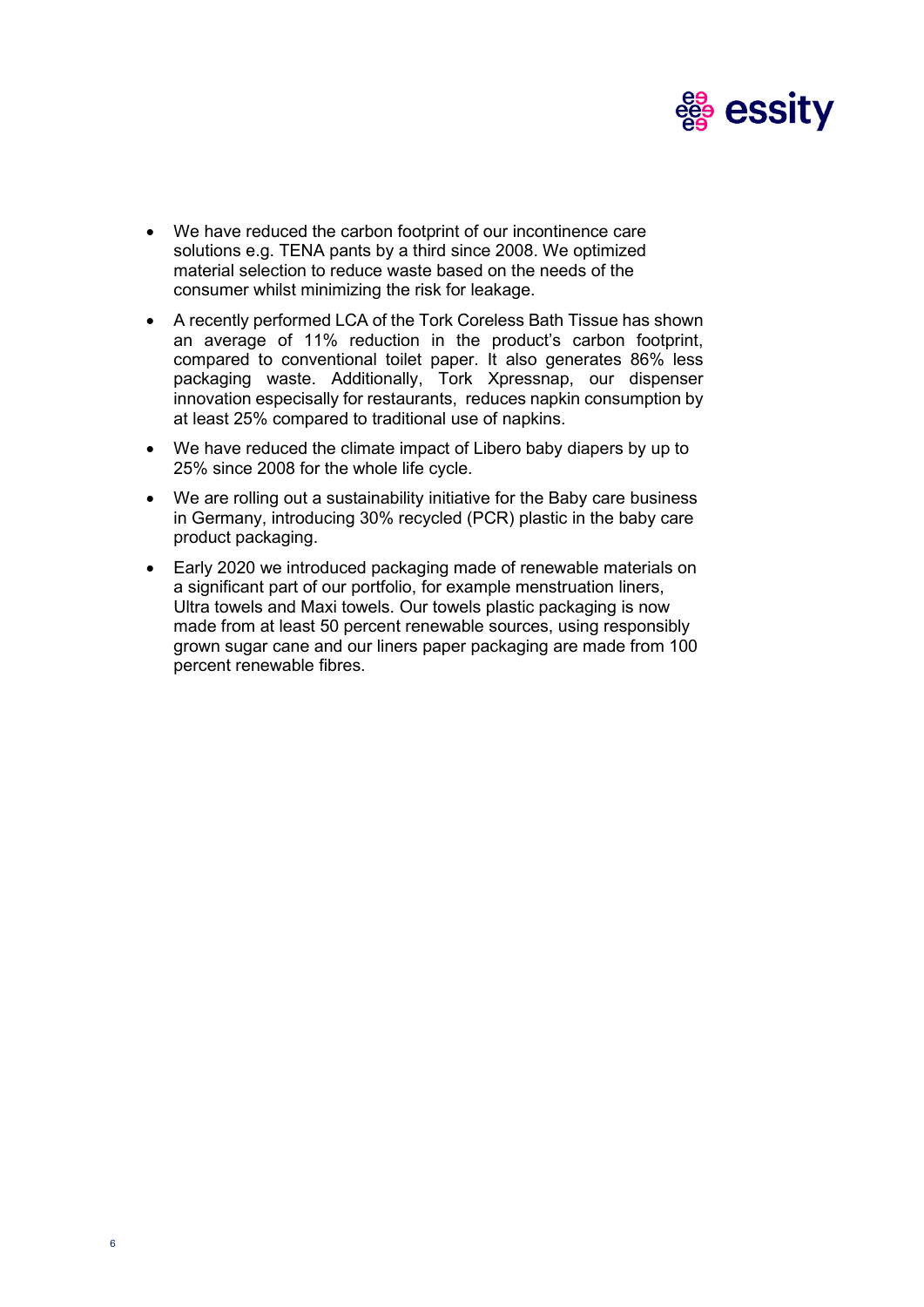

- We have reduced the carbon footprint of our incontinence care solutions e.g. TENA pants by a third since 2008. We optimized material selection to reduce waste based on the needs of the consumer whilst minimizing the risk for leakage.
- A recently performed LCA of the Tork Coreless Bath Tissue has shown an average of 11% reduction in the product's carbon footprint, compared to conventional toilet paper. It also generates 86% less packaging waste. Additionally, Tork Xpressnap, our dispenser innovation especisally for restaurants, reduces napkin consumption by at least 25% compared to traditional use of napkins.
- We have reduced the climate impact of Libero baby diapers by up to 25% since 2008 for the whole life cycle.
- We are rolling out a sustainability initiative for the Baby care business in Germany, introducing 30% recycled (PCR) plastic in the baby care product packaging.
- Early 2020 we introduced packaging made of renewable materials on a significant part of our portfolio, for example menstruation liners, Ultra towels and Maxi towels. Our towels plastic packaging is now made from at least 50 percent renewable sources, using responsibly grown sugar cane and our liners paper packaging are made from 100 percent renewable fibres.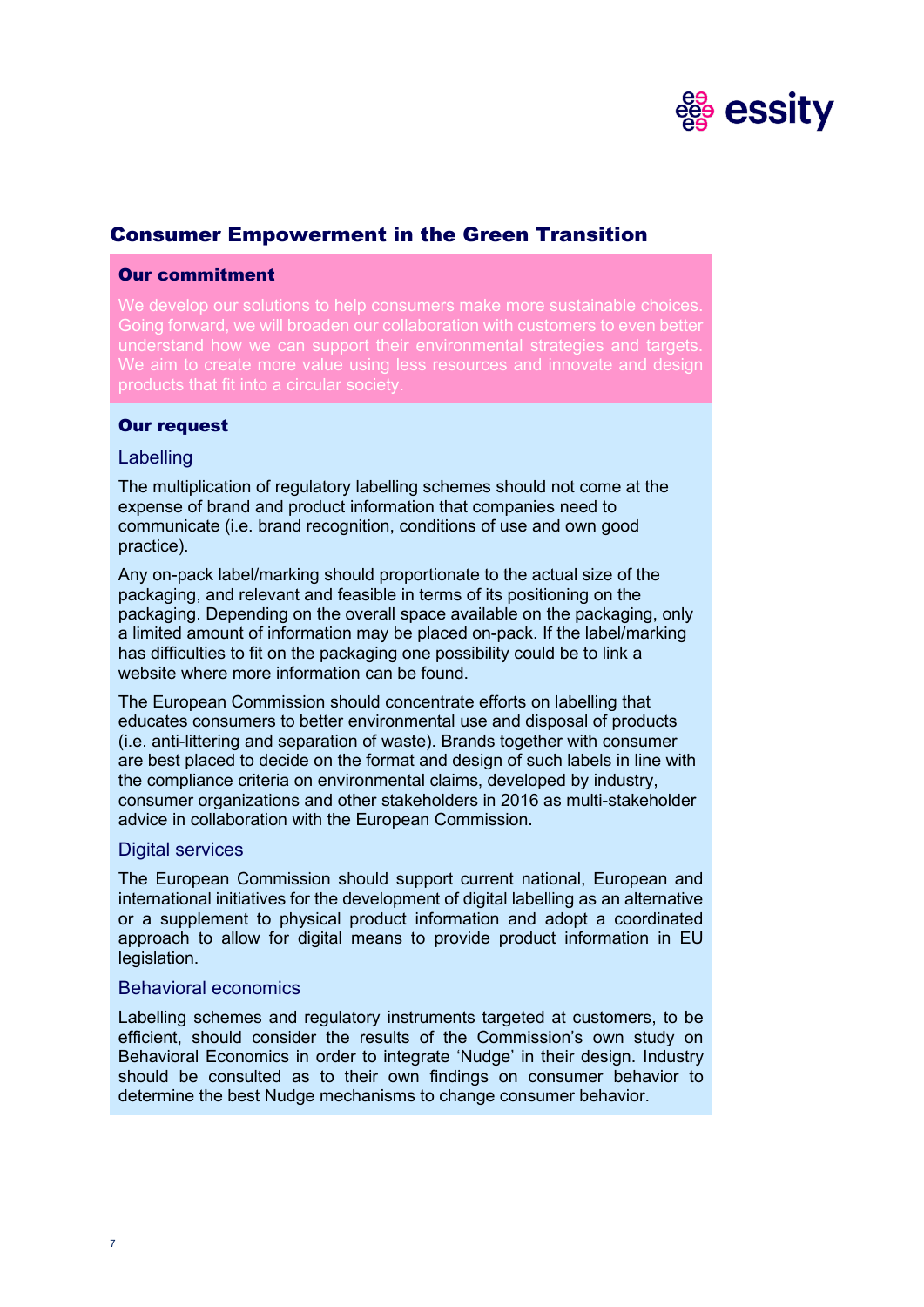

# Consumer Empowerment in the Green Transition

# Our commitment

We develop our solutions to help consumers make more sustainable choices. Going forward, we will broaden our collaboration with customers to even better understand how we can support their environmental strategies and targets. We aim to create more value using less resources and innovate and design products that fit into a circular society.

# Our request

# **Labelling**

The multiplication of regulatory labelling schemes should not come at the expense of brand and product information that companies need to communicate (i.e. brand recognition, conditions of use and own good practice).

Any on-pack label/marking should proportionate to the actual size of the packaging, and relevant and feasible in terms of its positioning on the packaging. Depending on the overall space available on the packaging, only a limited amount of information may be placed on-pack. If the label/marking has difficulties to fit on the packaging one possibility could be to link a website where more information can be found.

The European Commission should concentrate efforts on labelling that educates consumers to better environmental use and disposal of products (i.e. anti-littering and separation of waste). Brands together with consumer are best placed to decide on the format and design of such labels in line with the compliance criteria on environmental claims, developed by industry, consumer organizations and other stakeholders in 2016 as multi-stakeholder advice in collaboration with the European Commission.

#### Digital services

The European Commission should support current national, European and international initiatives for the development of digital labelling as an alternative or a supplement to physical product information and adopt a coordinated approach to allow for digital means to provide product information in EU legislation.

#### Behavioral economics

Labelling schemes and regulatory instruments targeted at customers, to be efficient, should consider the results of the Commission's own study on Behavioral Economics in order to integrate 'Nudge' in their design. Industry should be consulted as to their own findings on consumer behavior to determine the best Nudge mechanisms to change consumer behavior.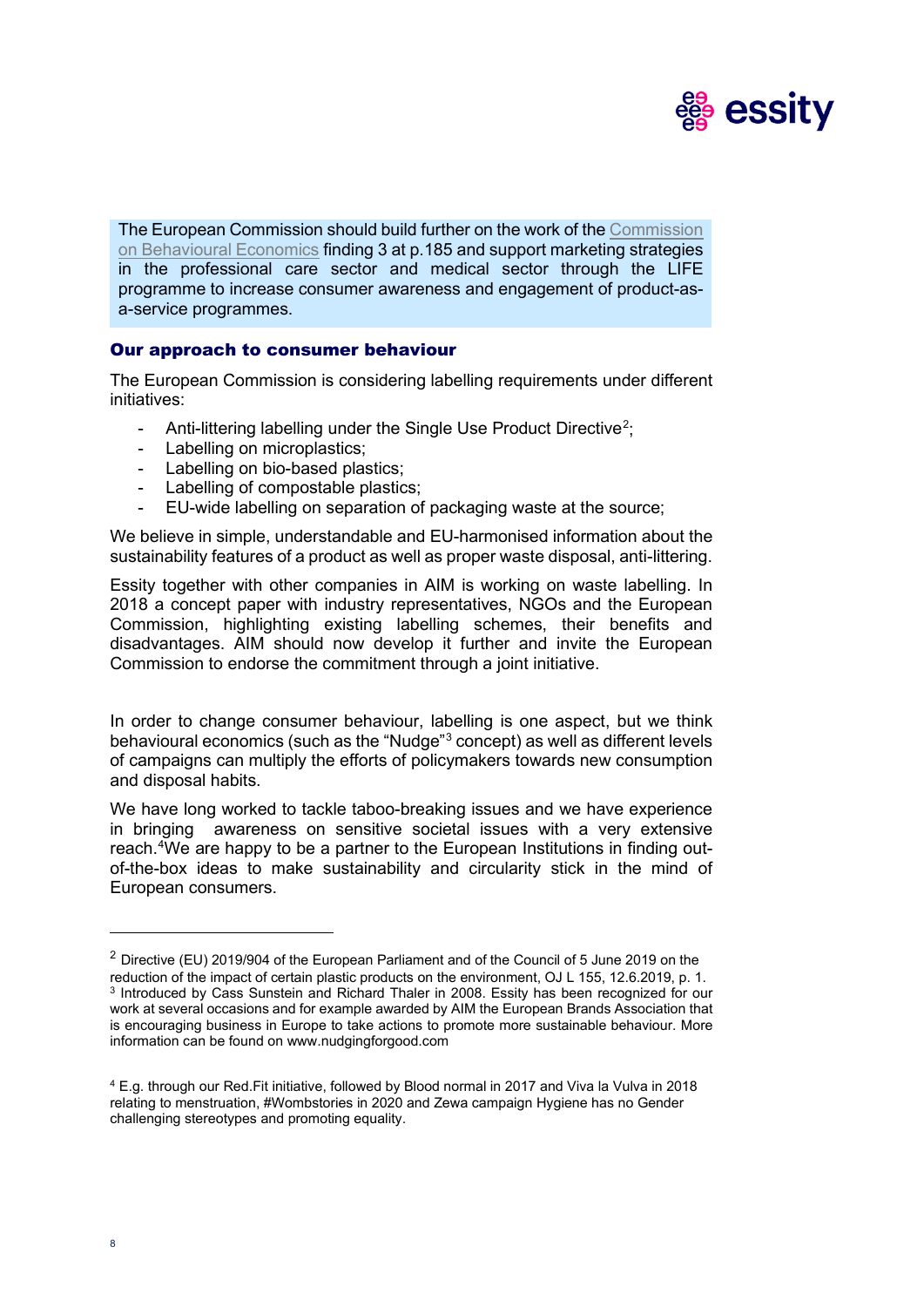

The European Commission should build further on the work of the [Commission](https://ec.europa.eu/info/sites/info/files/ec_circular_economy_final_report_0.pdf)  [on Behavioural Economics](https://ec.europa.eu/info/sites/info/files/ec_circular_economy_final_report_0.pdf) finding 3 at p.185 and support marketing strategies in the professional care sector and medical sector through the LIFE programme to increase consumer awareness and engagement of product-asa-service programmes.

# Our approach to consumer behaviour

The European Commission is considering labelling requirements under different initiatives:

- Anti-littering labelling under the Single Use Product Directive<sup>[2](#page-7-0)</sup>;
- Labelling on microplastics;
- Labelling on bio-based plastics;
- Labelling of compostable plastics;
- EU-wide labelling on separation of packaging waste at the source;

We believe in simple, understandable and EU-harmonised information about the sustainability features of a product as well as proper waste disposal, anti-littering.

Essity together with other companies in AIM is working on waste labelling. In 2018 a concept paper with industry representatives, NGOs and the European Commission, highlighting existing labelling schemes, their benefits and disadvantages. AIM should now develop it further and invite the European Commission to endorse the commitment through a joint initiative.

In order to change consumer behaviour, labelling is one aspect, but we think behavioural economics (such as the "Nudge"[3](#page-7-1) concept) as well as different levels of campaigns can multiply the efforts of policymakers towards new consumption and disposal habits.

We have long worked to tackle taboo-breaking issues and we have experience in bringing awareness on sensitive societal issues with a very extensive reach. [4](#page-7-2) We are happy to be a partner to the European Institutions in finding outof-the-box ideas to make sustainability and circularity stick in the mind of European consumers.

<span id="page-7-1"></span><span id="page-7-0"></span><sup>&</sup>lt;sup>2</sup> Directive (EU) 2019/904 of the European Parliament and of the Council of 5 June 2019 on the reduction of the impact of certain plastic products on the environment, OJ L 155, 12.6.2019, p. 1. <sup>3</sup> Introduced by Cass Sunstein and Richard Thaler in 2008. Essity has been recognized for our work at several occasions and for example awarded by AIM the European Brands Association that is encouraging business in Europe to take actions to promote more sustainable behaviour. More information can be found on [www.nudgingforgood.com](http://www.nudgingforgood.com/) 

<span id="page-7-2"></span><sup>4</sup> E.g. through our Red.Fit initiative, followed by Blood normal in 2017 and Viva la Vulva in 2018 relating to menstruation, #Wombstories in 2020 and Zewa campaign Hygiene has no Gender challenging stereotypes and promoting equality.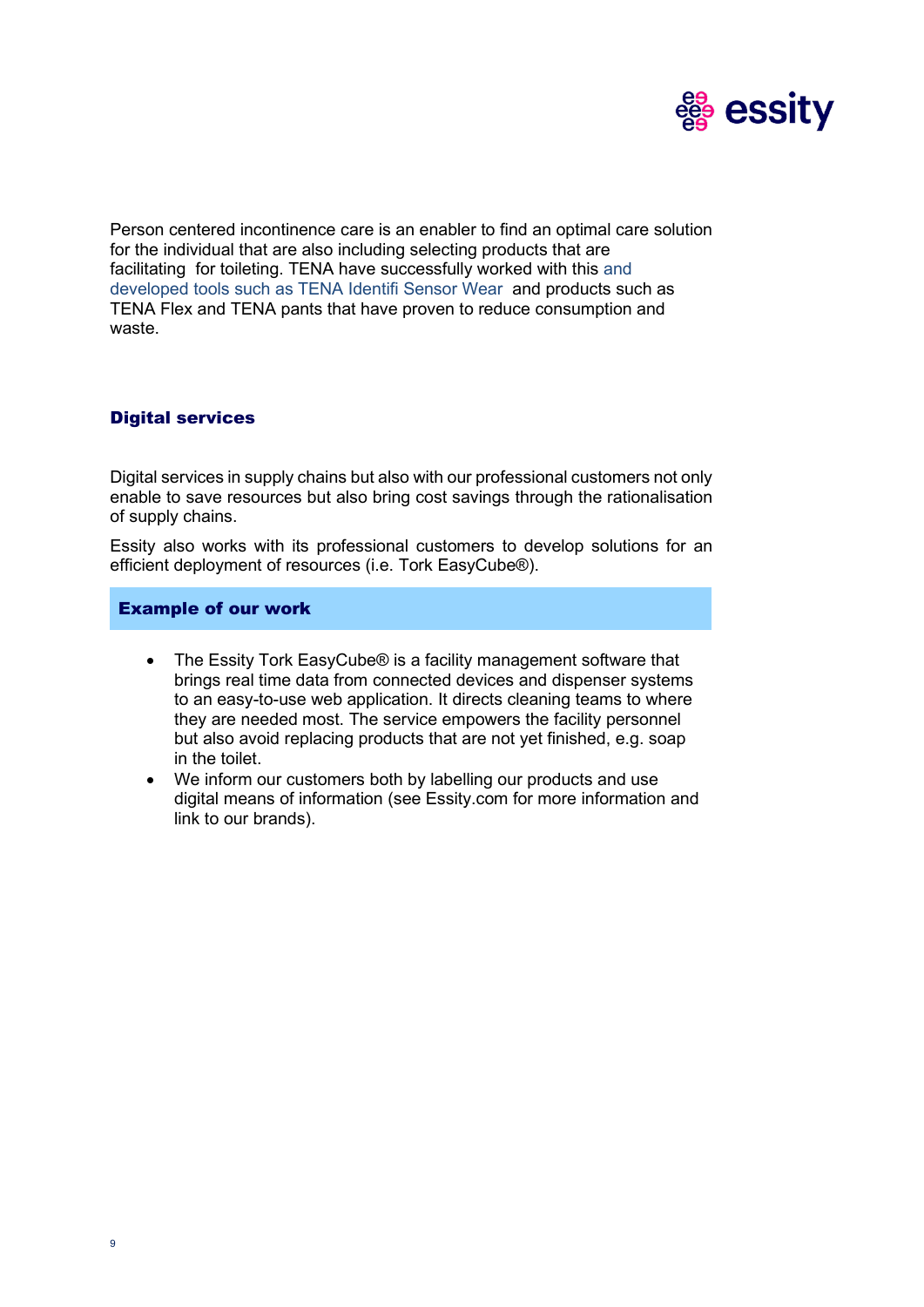

Person centered incontinence care is an enabler to find an optimal care solution for the individual that are also including selecting products that are facilitating for toileting. TENA have successfully worked with this and developed tools such as TENA Identifi Sensor Wear and products such as TENA Flex and TENA pants that have proven to reduce consumption and waste.

# Digital services

Digital services in supply chains but also with our professional customers not only enable to save resources but also bring cost savings through the rationalisation of supply chains.

Essity also works with its professional customers to develop solutions for an efficient deployment of resources (i.e. Tork EasyCube®).

# Example of our work

- The Essity Tork EasyCube® is a facility management software that brings real time data from connected devices and dispenser systems to an easy-to-use web application. It directs cleaning teams to where they are needed most. The service empowers the facility personnel but also avoid replacing products that are not yet finished, e.g. soap in the toilet.
- We inform our customers both by labelling our products and use digital means of information (see Essity.com for more information and link to our brands).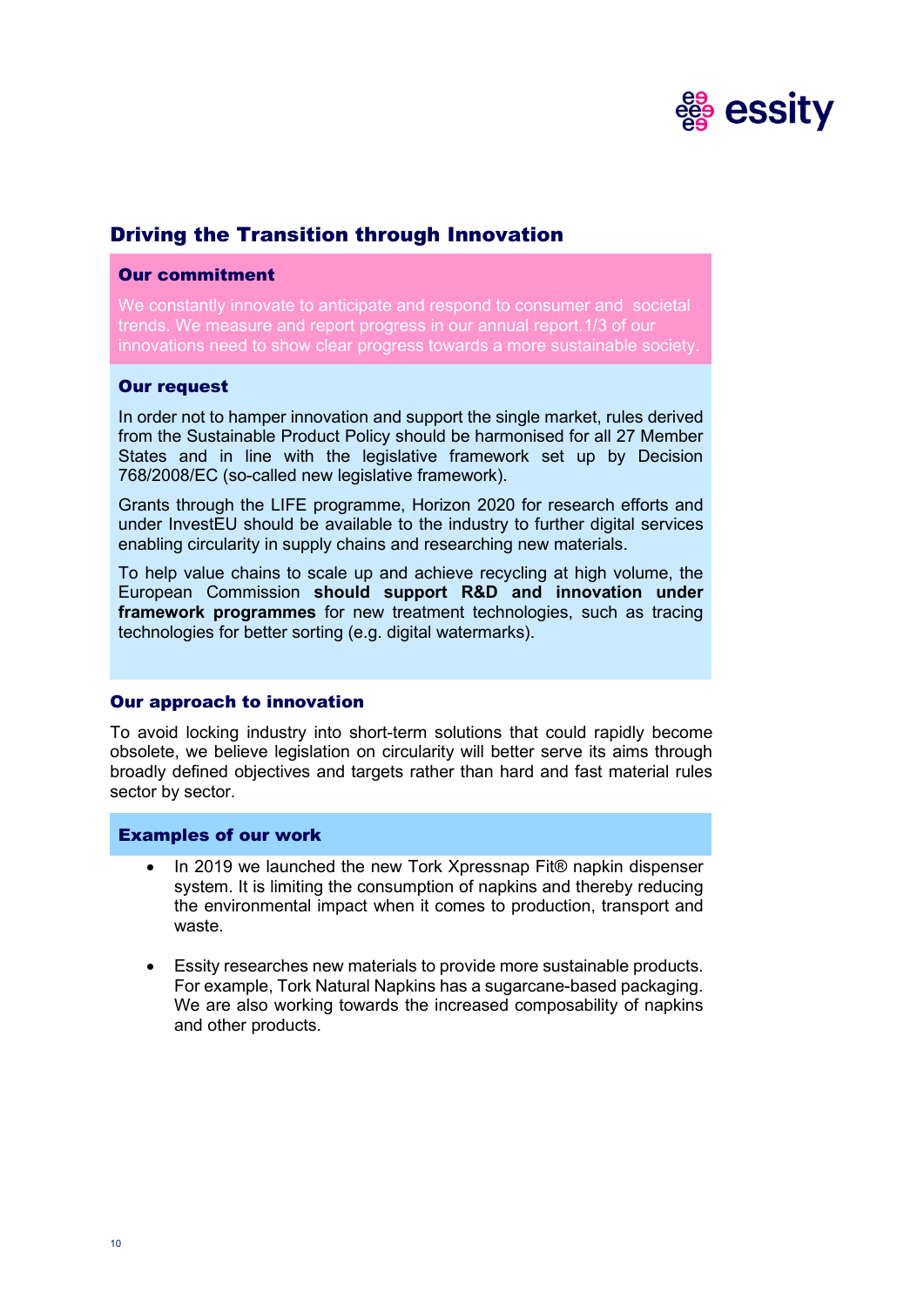

# Driving the Transition through Innovation

#### Our commitment

We constantly innovate to anticipate and respond to consumer and societal trends. We measure and report progress in our annual report.1/3 of our innovations need to show clear progress towards a more sustainable society.

# Our request

In order not to hamper innovation and support the single market, rules derived from the Sustainable Product Policy should be harmonised for all 27 Member States and in line with the legislative framework set up by Decision 768/2008/EC (so-called new legislative framework).

Grants through the LIFE programme, Horizon 2020 for research efforts and under InvestEU should be available to the industry to further digital services enabling circularity in supply chains and researching new materials.

To help value chains to scale up and achieve recycling at high volume, the European Commission **should support R&D and innovation under framework programmes** for new treatment technologies, such as tracing technologies for better sorting (e.g. digital watermarks).

#### Our approach to innovation

To avoid locking industry into short-term solutions that could rapidly become obsolete, we believe legislation on circularity will better serve its aims through broadly defined objectives and targets rather than hard and fast material rules sector by sector.

#### Examples of our work

- In 2019 we launched the new Tork Xpressnap Fit® napkin dispenser system. It is limiting the consumption of napkins and thereby reducing the environmental impact when it comes to production, transport and waste.
- Essity researches new materials to provide more sustainable products. For example, Tork Natural Napkins has a sugarcane-based packaging. We are also working towards the increased composability of napkins and other products.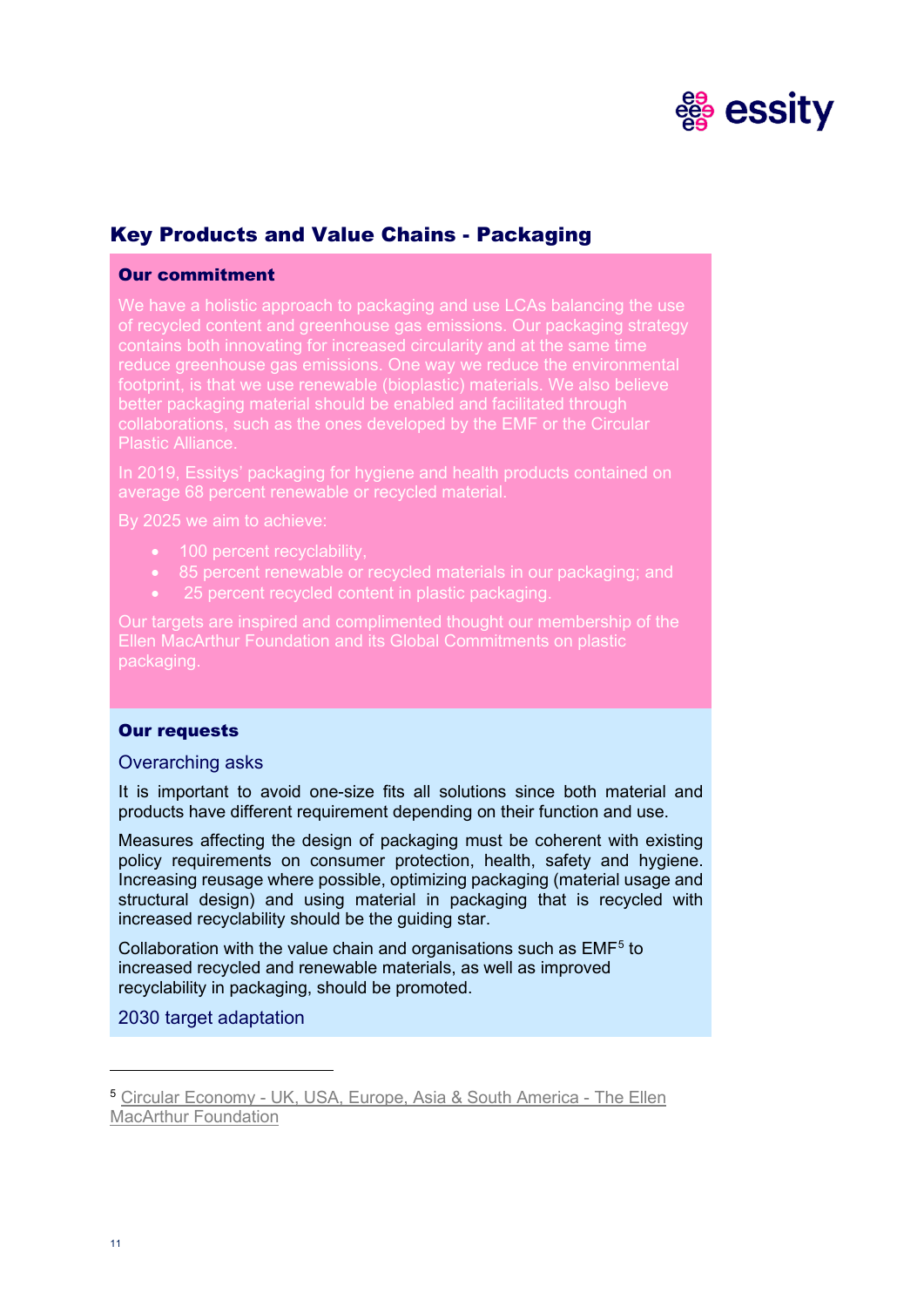

# Key Products and Value Chains - Packaging

# Our commitment

We have a holistic approach to packaging and use LCAs balancing the use of recycled content and greenhouse gas emissions. Our packaging strategy contains both innovating for increased circularity and at the same time reduce greenhouse gas emissions. One way we reduce the environmental footprint, is that we use renewable (bioplastic) materials. We also believe better packaging material should be enabled and facilitated through collaborations, such as the ones developed by the EMF or the Circular **Plastic Alliance** 

In 2019, Essitys' packaging for hygiene and health products contained on average 68 percent renewable or recycled material.

By 2025 we aim to achieve:

- 100 percent recyclability,
- 85 percent renewable or recycled materials in our packaging; and
- 25 percent recycled content in plastic packaging.

Our targets are inspired and complimented thought our membership of the Ellen MacArthur Foundation and its Global Commitments on plastic packaging.

#### Our requests

#### Overarching asks

It is important to avoid one-size fits all solutions since both material and products have different requirement depending on their function and use.

Measures affecting the design of packaging must be coherent with existing policy requirements on consumer protection, health, safety and hygiene. Increasing reusage where possible, optimizing packaging (material usage and structural design) and using material in packaging that is recycled with increased recyclability should be the guiding star.

Collaboration with the value chain and organisations such as EMF<sup>5</sup> to increased recycled and renewable materials, as well as improved recyclability in packaging, should be promoted.

# 2030 target adaptation

<span id="page-10-0"></span><sup>5</sup> [Circular Economy - UK, USA, Europe, Asia & South America - The Ellen](https://www.ellenmacarthurfoundation.org/)  [MacArthur Foundation](https://www.ellenmacarthurfoundation.org/)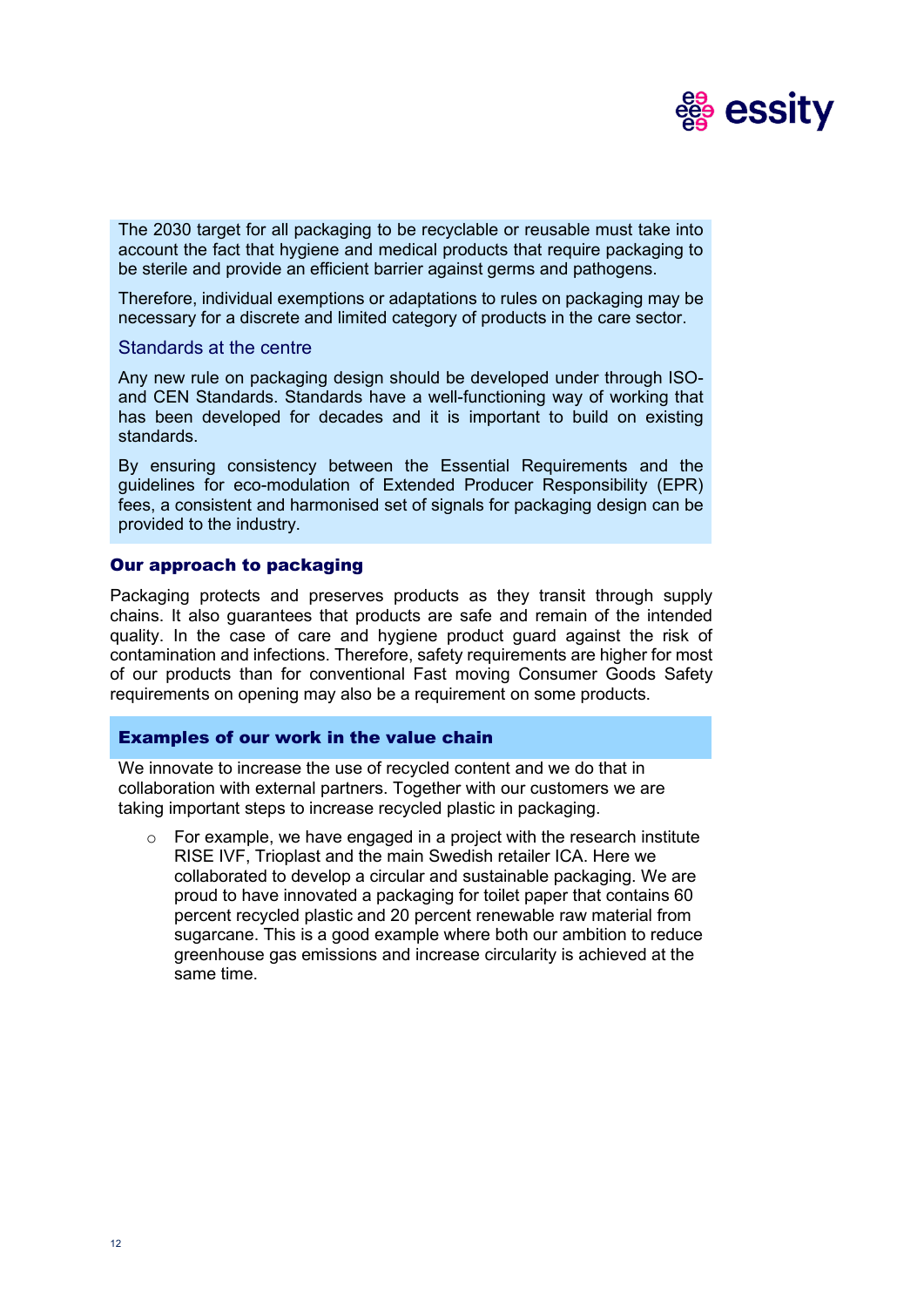

The 2030 target for all packaging to be recyclable or reusable must take into account the fact that hygiene and medical products that require packaging to be sterile and provide an efficient barrier against germs and pathogens.

Therefore, individual exemptions or adaptations to rules on packaging may be necessary for a discrete and limited category of products in the care sector.

#### Standards at the centre

Any new rule on packaging design should be developed under through ISOand CEN Standards. Standards have a well-functioning way of working that has been developed for decades and it is important to build on existing standards.

By ensuring consistency between the Essential Requirements and the guidelines for eco-modulation of Extended Producer Responsibility (EPR) fees, a consistent and harmonised set of signals for packaging design can be provided to the industry.

#### Our approach to packaging

Packaging protects and preserves products as they transit through supply chains. It also guarantees that products are safe and remain of the intended quality. In the case of care and hygiene product guard against the risk of contamination and infections. Therefore, safety requirements are higher for most of our products than for conventional Fast moving Consumer Goods Safety requirements on opening may also be a requirement on some products.

#### Examples of our work in the value chain

We innovate to increase the use of recycled content and we do that in collaboration with external partners. Together with our customers we are taking important steps to increase recycled plastic in packaging.

o For example, we have engaged in a project with the research institute RISE IVF, Trioplast and the main Swedish retailer ICA. Here we collaborated to develop a circular and sustainable packaging. We are proud to have innovated a packaging for toilet paper that contains 60 percent recycled plastic and 20 percent renewable raw material from sugarcane. This is a good example where both our ambition to reduce greenhouse gas emissions and increase circularity is achieved at the same time.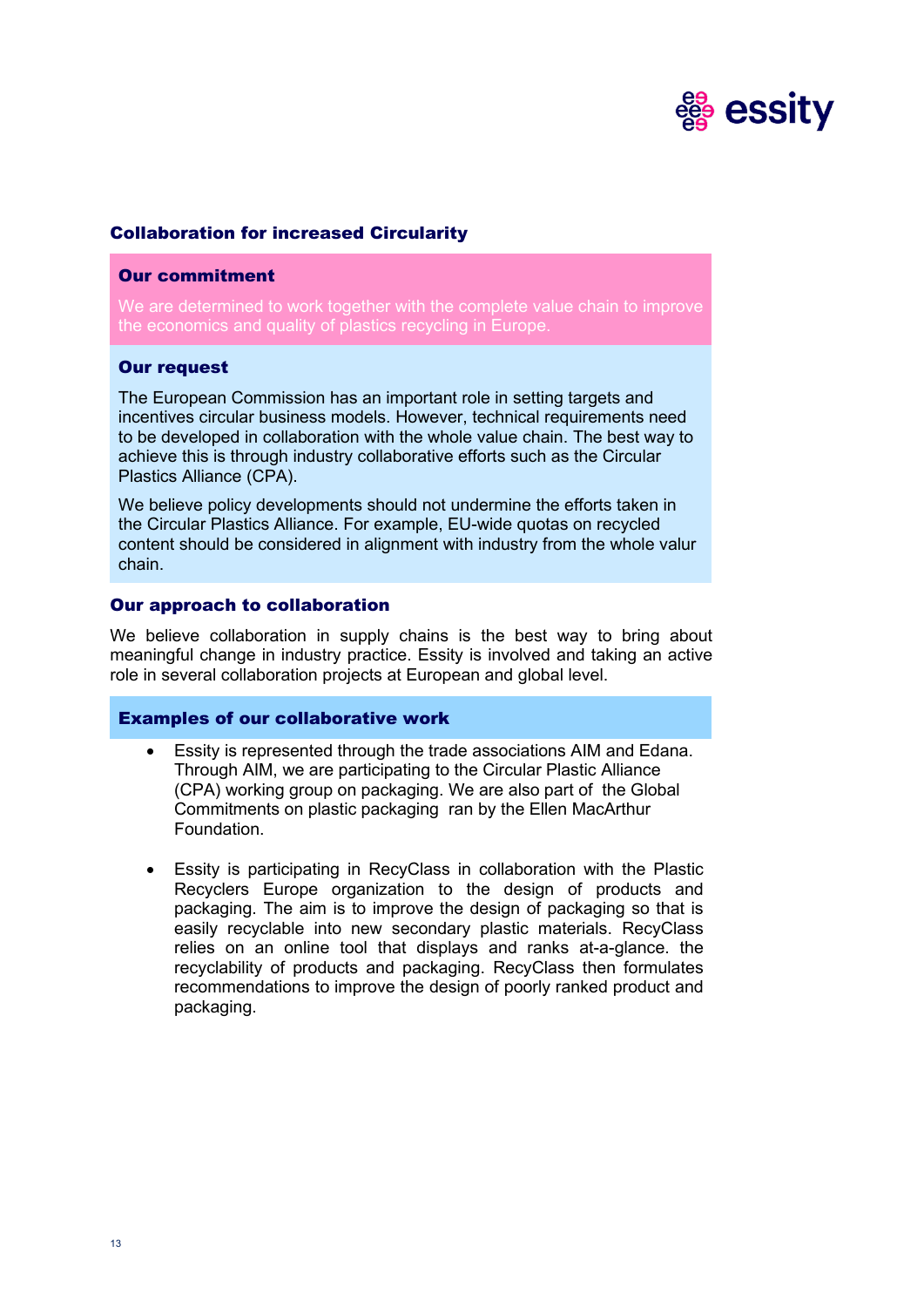

# Collaboration for increased Circularity

#### Our commitment

We are determined to work together with the complete value chain to improve the economics and quality of plastics recycling in Europe.

### Our request

The European Commission has an important role in setting targets and incentives circular business models. However, technical requirements need to be developed in collaboration with the whole value chain. The best way to achieve this is through industry collaborative efforts such as the Circular Plastics Alliance (CPA).

We believe policy developments should not undermine the efforts taken in the Circular Plastics Alliance. For example, EU-wide quotas on recycled content should be considered in alignment with industry from the whole valur chain.

### Our approach to collaboration

We believe collaboration in supply chains is the best way to bring about meaningful change in industry practice. Essity is involved and taking an active role in several collaboration projects at European and global level.

#### Examples of our collaborative work

- Essity is represented through the trade associations AIM and Edana. Through AIM, we are participating to the Circular Plastic Alliance (CPA) working group on packaging. We are also part of the Global Commitments on plastic packaging ran by the Ellen MacArthur Foundation.
- Essity is participating in RecyClass in collaboration with the Plastic Recyclers Europe organization to the design of products and packaging. The aim is to improve the design of packaging so that is easily recyclable into new secondary plastic materials. RecyClass relies on an online tool that displays and ranks at-a-glance. the recyclability of products and packaging. RecyClass then formulates recommendations to improve the design of poorly ranked product and packaging.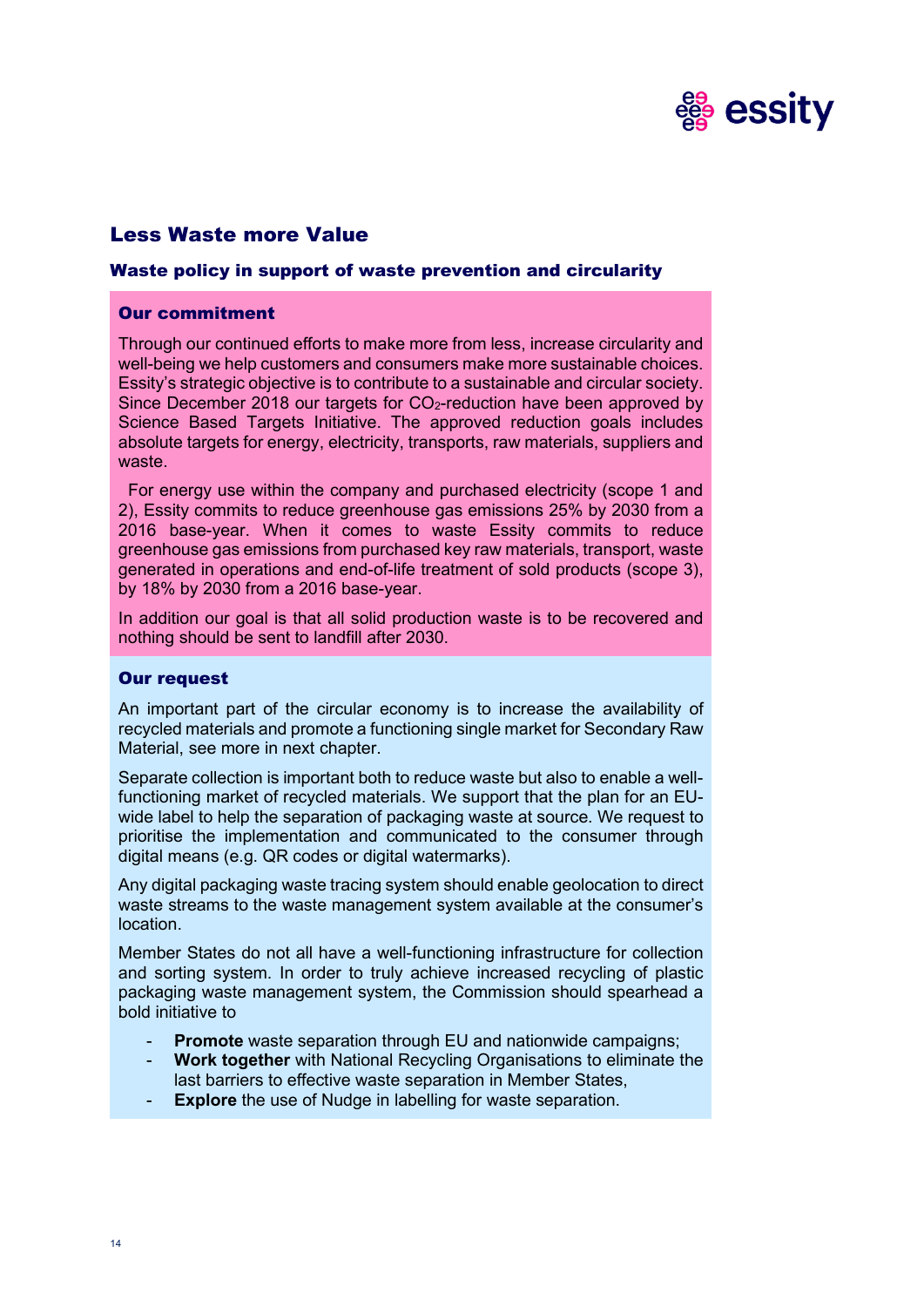

# Less Waste more Value

# Waste policy in support of waste prevention and circularity

#### Our commitment

Through our continued efforts to make more from less, increase circularity and well-being we help customers and consumers make more sustainable choices. Essity's strategic objective is to contribute to a sustainable and circular society. Since December 2018 our targets for CO<sub>2</sub>-reduction have been approved by Science Based Targets Initiative. The approved reduction goals includes absolute targets for energy, electricity, transports, raw materials, suppliers and waste.

For energy use within the company and purchased electricity (scope 1 and 2), Essity commits to reduce greenhouse gas emissions 25% by 2030 from a 2016 base-year. When it comes to waste Essity commits to reduce greenhouse gas emissions from purchased key raw materials, transport, waste generated in operations and end-of-life treatment of sold products (scope 3), by 18% by 2030 from a 2016 base-year.

In addition our goal is that all solid production waste is to be recovered and nothing should be sent to landfill after 2030.

#### Our request

An important part of the circular economy is to increase the availability of recycled materials and promote a functioning single market for Secondary Raw Material, see more in next chapter.

Separate collection is important both to reduce waste but also to enable a wellfunctioning market of recycled materials. We support that the plan for an EUwide label to help the separation of packaging waste at source. We request to prioritise the implementation and communicated to the consumer through digital means (e.g. QR codes or digital watermarks).

Any digital packaging waste tracing system should enable geolocation to direct waste streams to the waste management system available at the consumer's location.

Member States do not all have a well-functioning infrastructure for collection and sorting system. In order to truly achieve increased recycling of plastic packaging waste management system, the Commission should spearhead a bold initiative to

- **Promote** waste separation through EU and nationwide campaigns;
- **Work together** with National Recycling Organisations to eliminate the last barriers to effective waste separation in Member States,
- **Explore** the use of Nudge in labelling for waste separation.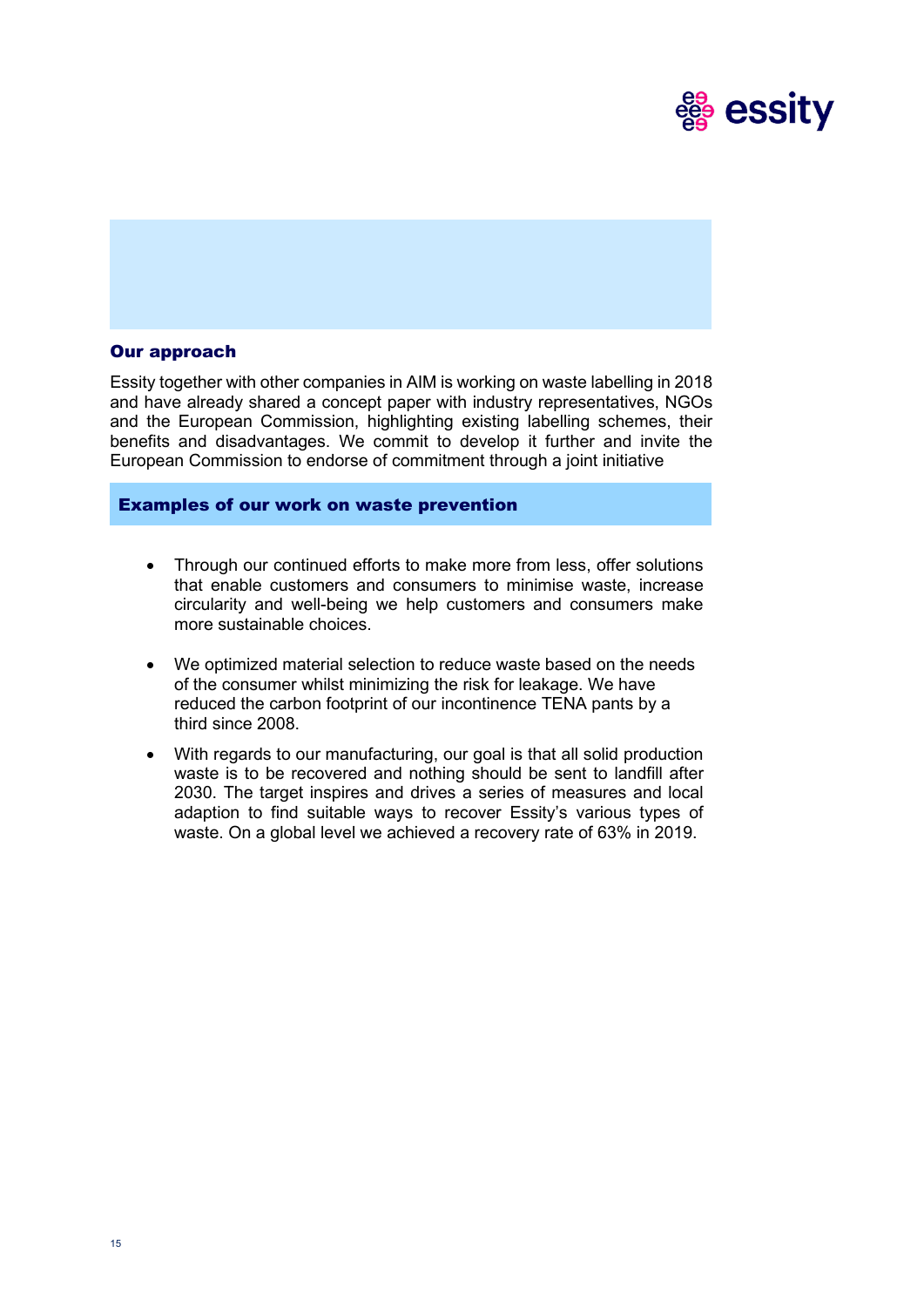

# Our approach

Essity together with other companies in AIM is working on waste labelling in 2018 and have already shared a concept paper with industry representatives, NGOs and the European Commission, highlighting existing labelling schemes, their benefits and disadvantages. We commit to develop it further and invite the European Commission to endorse of commitment through a joint initiative

#### Examples of our work on waste prevention

- Through our continued efforts to make more from less, offer solutions that enable customers and consumers to minimise waste, increase circularity and well-being we help customers and consumers make more sustainable choices.
- We optimized material selection to reduce waste based on the needs of the consumer whilst minimizing the risk for leakage. We have reduced the carbon footprint of our incontinence TENA pants by a third since 2008.
- With regards to our manufacturing, our goal is that all solid production waste is to be recovered and nothing should be sent to landfill after 2030. The target inspires and drives a series of measures and local adaption to find suitable ways to recover Essity's various types of waste. On a global level we achieved a recovery rate of 63% in 2019.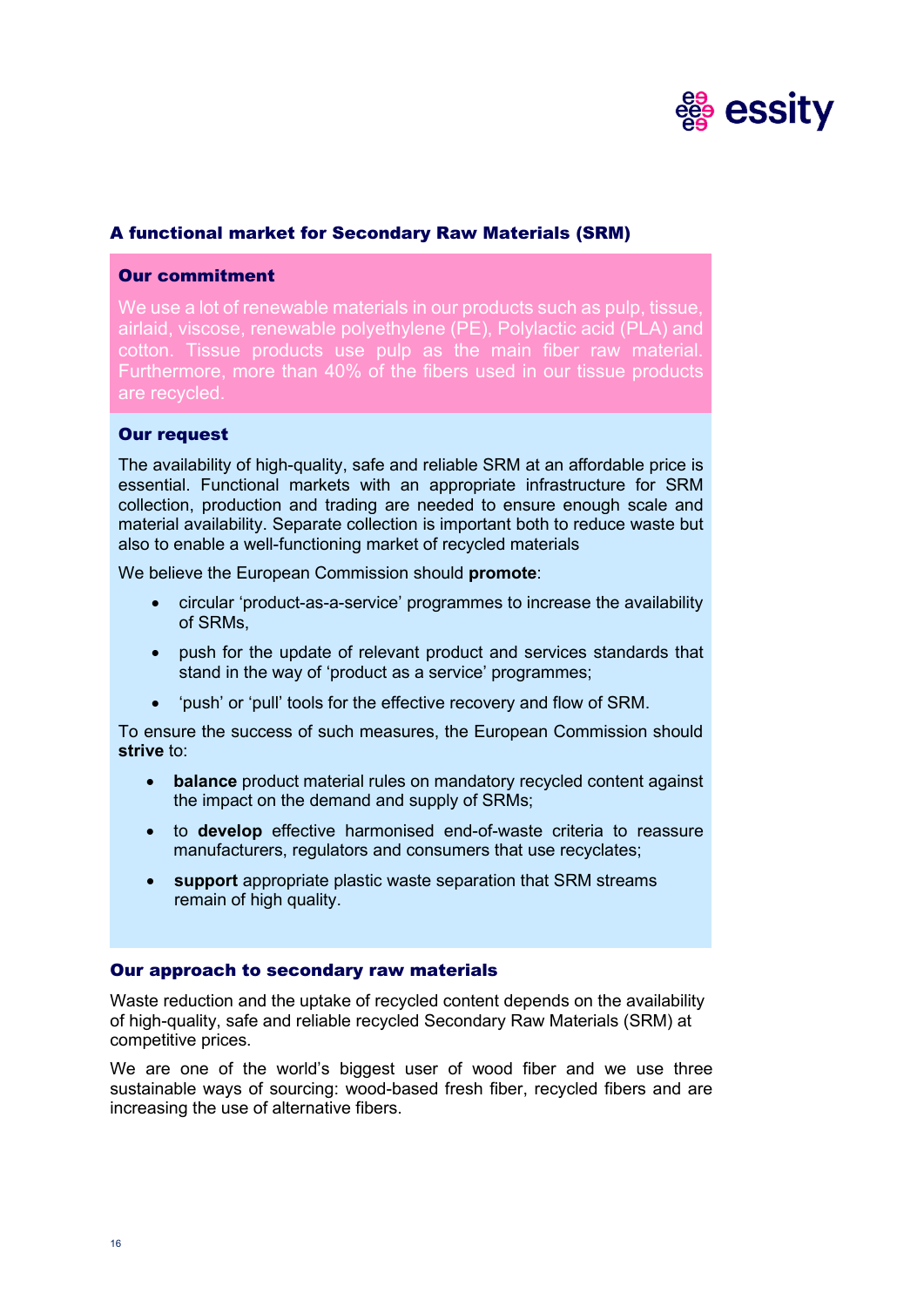

# A functional market for Secondary Raw Materials (SRM)

#### Our commitment

We use a lot of renewable materials in our products such as pulp, tissue, airlaid, viscose, renewable polyethylene (PE), Polylactic acid (PLA) and cotton. Tissue products use pulp as the main fiber raw material. Furthermore, more than 40% of the fibers used in our tissue products are recycled.

#### Our request

The availability of high-quality, safe and reliable SRM at an affordable price is essential. Functional markets with an appropriate infrastructure for SRM collection, production and trading are needed to ensure enough scale and material availability. Separate collection is important both to reduce waste but also to enable a well-functioning market of recycled materials

We believe the European Commission should **promote**:

- circular 'product-as-a-service' programmes to increase the availability of SRMs,
- push for the update of relevant product and services standards that stand in the way of 'product as a service' programmes;
- 'push' or 'pull' tools for the effective recovery and flow of SRM.

To ensure the success of such measures, the European Commission should **strive** to:

- **balance** product material rules on mandatory recycled content against the impact on the demand and supply of SRMs;
- to **develop** effective harmonised end-of-waste criteria to reassure manufacturers, regulators and consumers that use recyclates;
- **support** appropriate plastic waste separation that SRM streams remain of high quality.

#### Our approach to secondary raw materials

Waste reduction and the uptake of recycled content depends on the availability of high-quality, safe and reliable recycled Secondary Raw Materials (SRM) at competitive prices.

We are one of the world's biggest user of wood fiber and we use three sustainable ways of sourcing: wood-based fresh fiber, recycled fibers and are increasing the use of alternative fibers.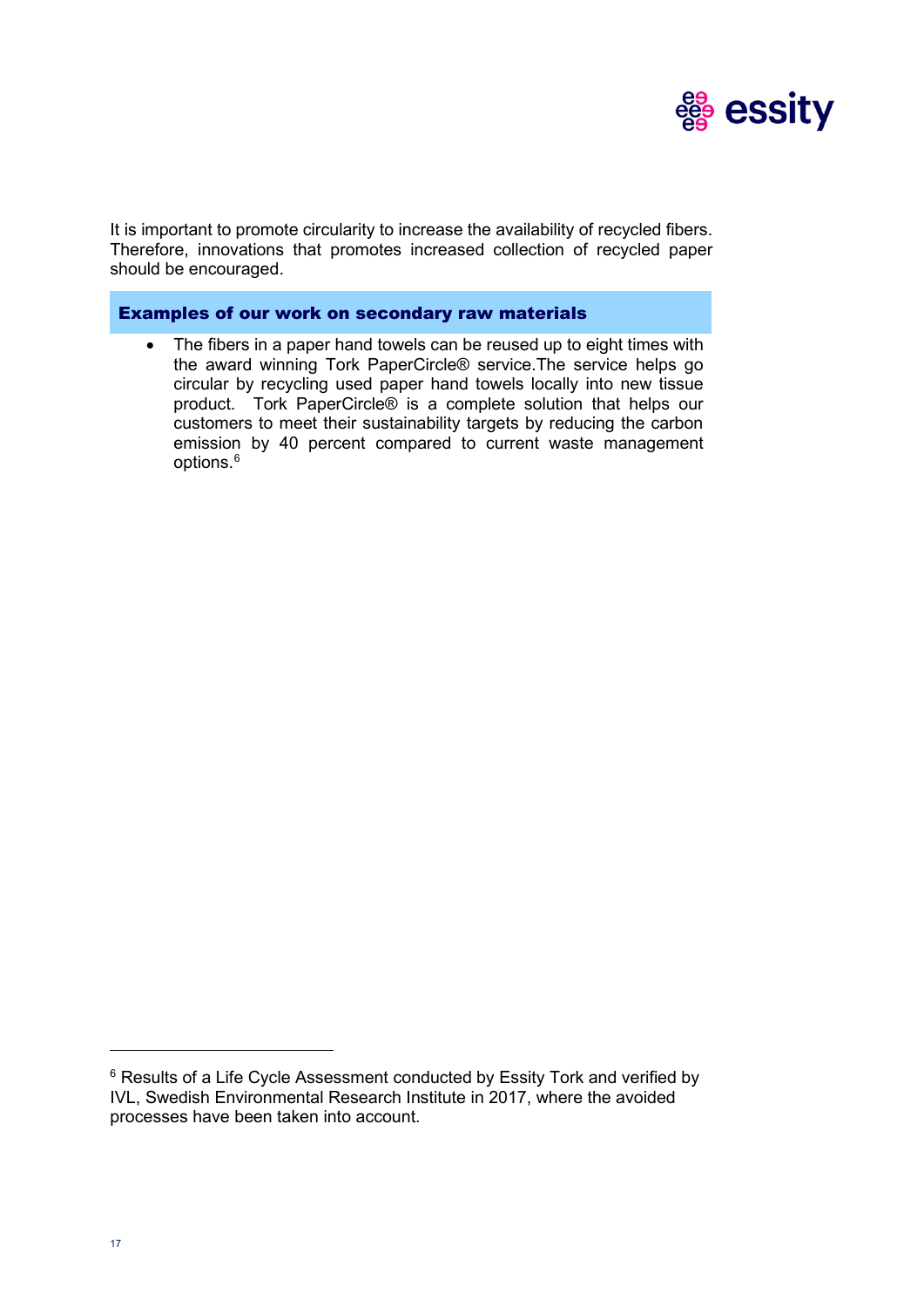

It is important to promote circularity to increase the availability of recycled fibers. Therefore, innovations that promotes increased collection of recycled paper should be encouraged.

# Examples of our work on secondary raw materials

The fibers in a paper hand towels can be reused up to eight times with the award winning Tork PaperCircle® service.The service helps go circular by recycling used paper hand towels locally into new tissue product. Tork PaperCircle® is a complete solution that helps our customers to meet their sustainability targets by reducing the carbon emission by 40 percent compared to current waste management options. [6](#page-16-0)

<span id="page-16-0"></span><sup>&</sup>lt;sup>6</sup> Results of a Life Cycle Assessment conducted by Essity Tork and verified by IVL, Swedish Environmental Research Institute in 2017, where the avoided processes have been taken into account.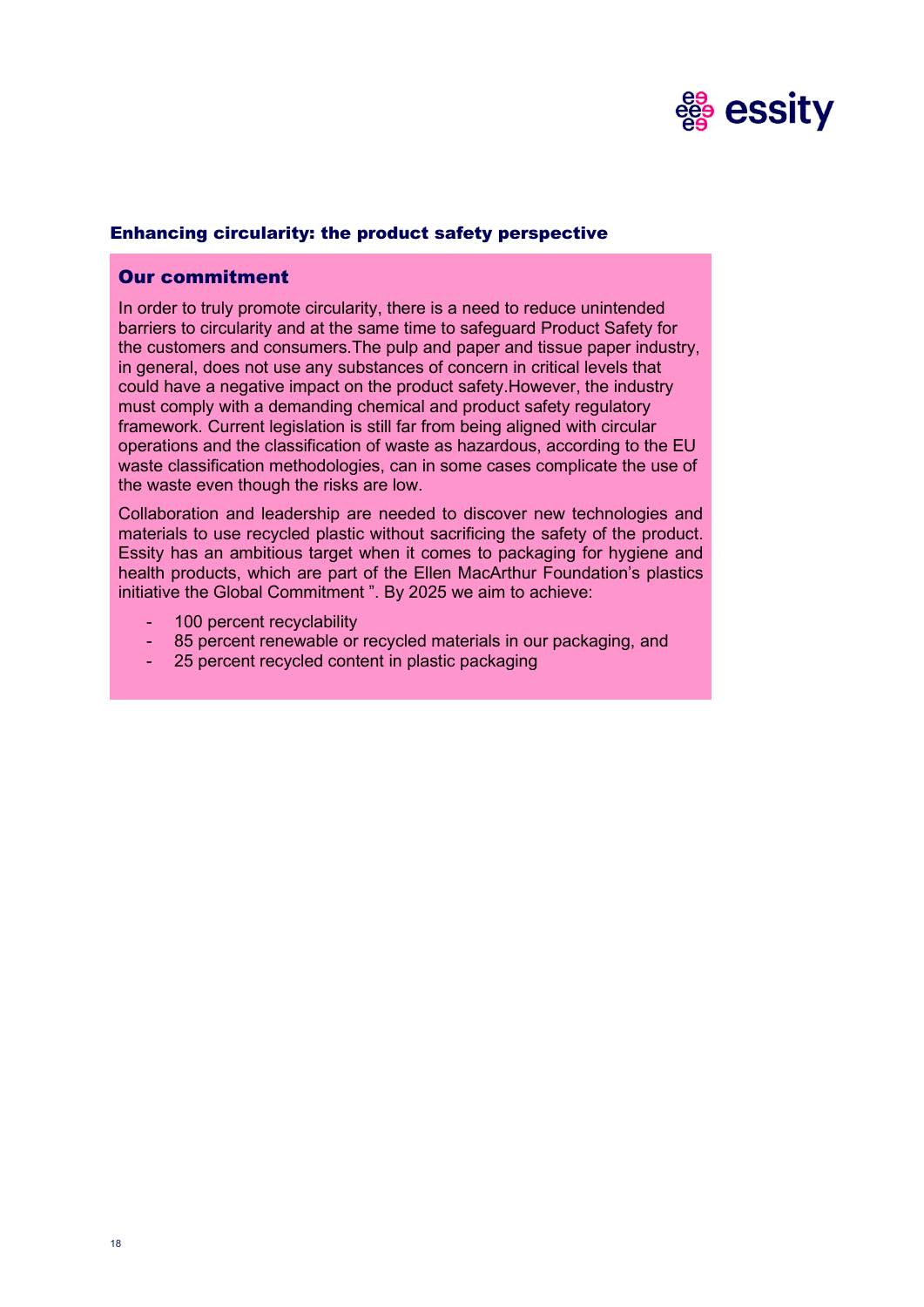

# Enhancing circularity: the product safety perspective

### Our commitment

In order to truly promote circularity, there is a need to reduce unintended barriers to circularity and at the same time to safeguard Product Safety for the customers and consumers.The pulp and paper and tissue paper industry, in general, does not use any substances of concern in critical levels that could have a negative impact on the product safety.However, the industry must comply with a demanding chemical and product safety regulatory framework. Current legislation is still far from being aligned with circular operations and the classification of waste as hazardous, according to the EU waste classification methodologies, can in some cases complicate the use of the waste even though the risks are low.

Collaboration and leadership are needed to discover new technologies and materials to use recycled plastic without sacrificing the safety of the product. Essity has an ambitious target when it comes to packaging for hygiene and health products, which are part of the Ellen MacArthur Foundation's plastics initiative the Global Commitment ". By 2025 we aim to achieve:

- 100 percent recyclability
- 85 percent renewable or recycled materials in our packaging, and
- 25 percent recycled content in plastic packaging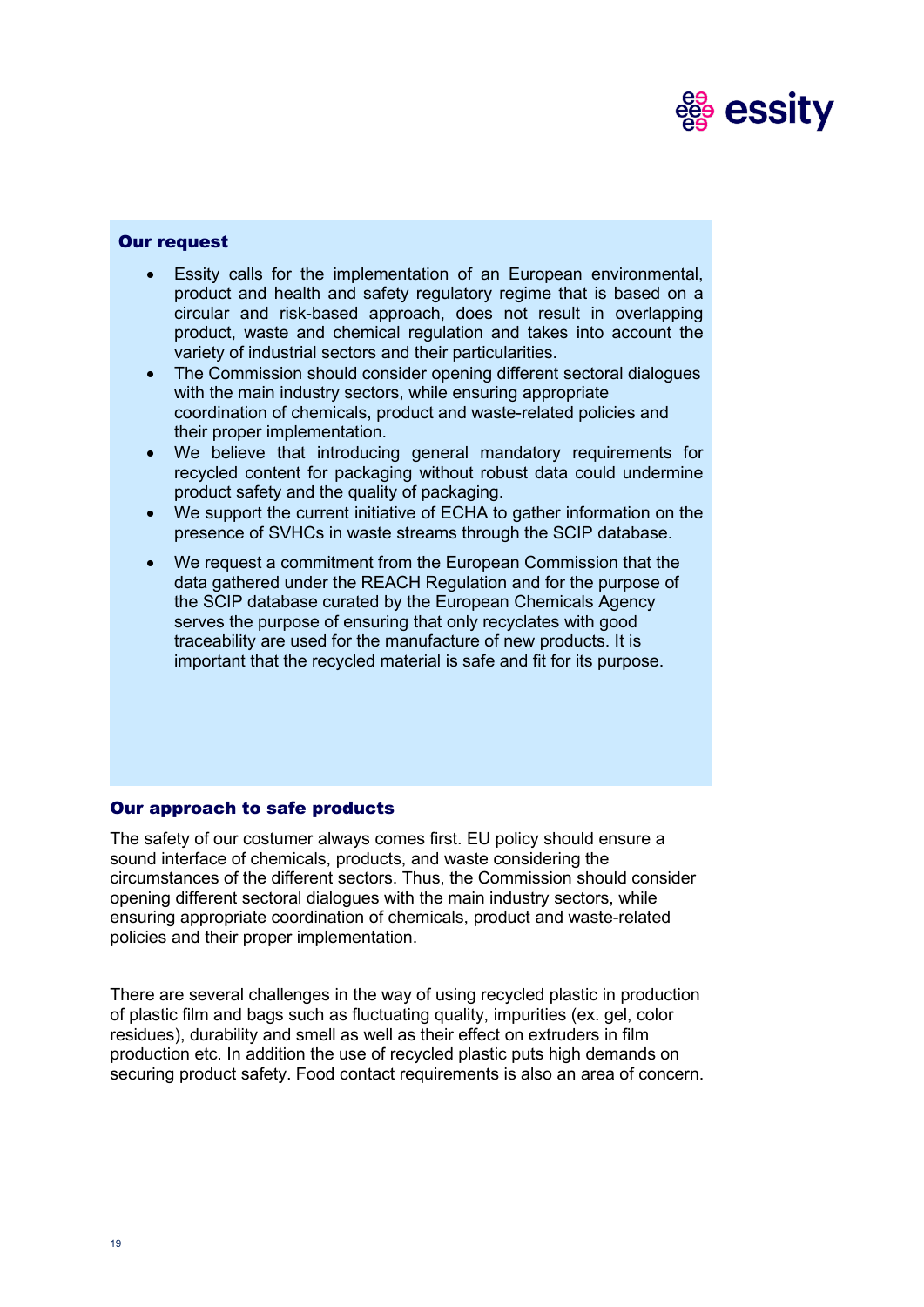

### Our request

- Essity calls for the implementation of an European environmental. product and health and safety regulatory regime that is based on a circular and risk-based approach, does not result in overlapping product, waste and chemical regulation and takes into account the variety of industrial sectors and their particularities.
- The Commission should consider opening different sectoral dialogues with the main industry sectors, while ensuring appropriate coordination of chemicals, product and waste-related policies and their proper implementation.
- We believe that introducing general mandatory requirements for recycled content for packaging without robust data could undermine product safety and the quality of packaging.
- We support the current initiative of ECHA to gather information on the presence of SVHCs in waste streams through the SCIP database.
- We request a commitment from the European Commission that the data gathered under the REACH Regulation and for the purpose of the SCIP database curated by the European Chemicals Agency serves the purpose of ensuring that only recyclates with good traceability are used for the manufacture of new products. It is important that the recycled material is safe and fit for its purpose.

# Our approach to safe products

The safety of our costumer always comes first. EU policy should ensure a sound interface of chemicals, products, and waste considering the circumstances of the different sectors. Thus, the Commission should consider opening different sectoral dialogues with the main industry sectors, while ensuring appropriate coordination of chemicals, product and waste-related policies and their proper implementation.

There are several challenges in the way of using recycled plastic in production of plastic film and bags such as fluctuating quality, impurities (ex. gel, color residues), durability and smell as well as their effect on extruders in film production etc. In addition the use of recycled plastic puts high demands on securing product safety. Food contact requirements is also an area of concern.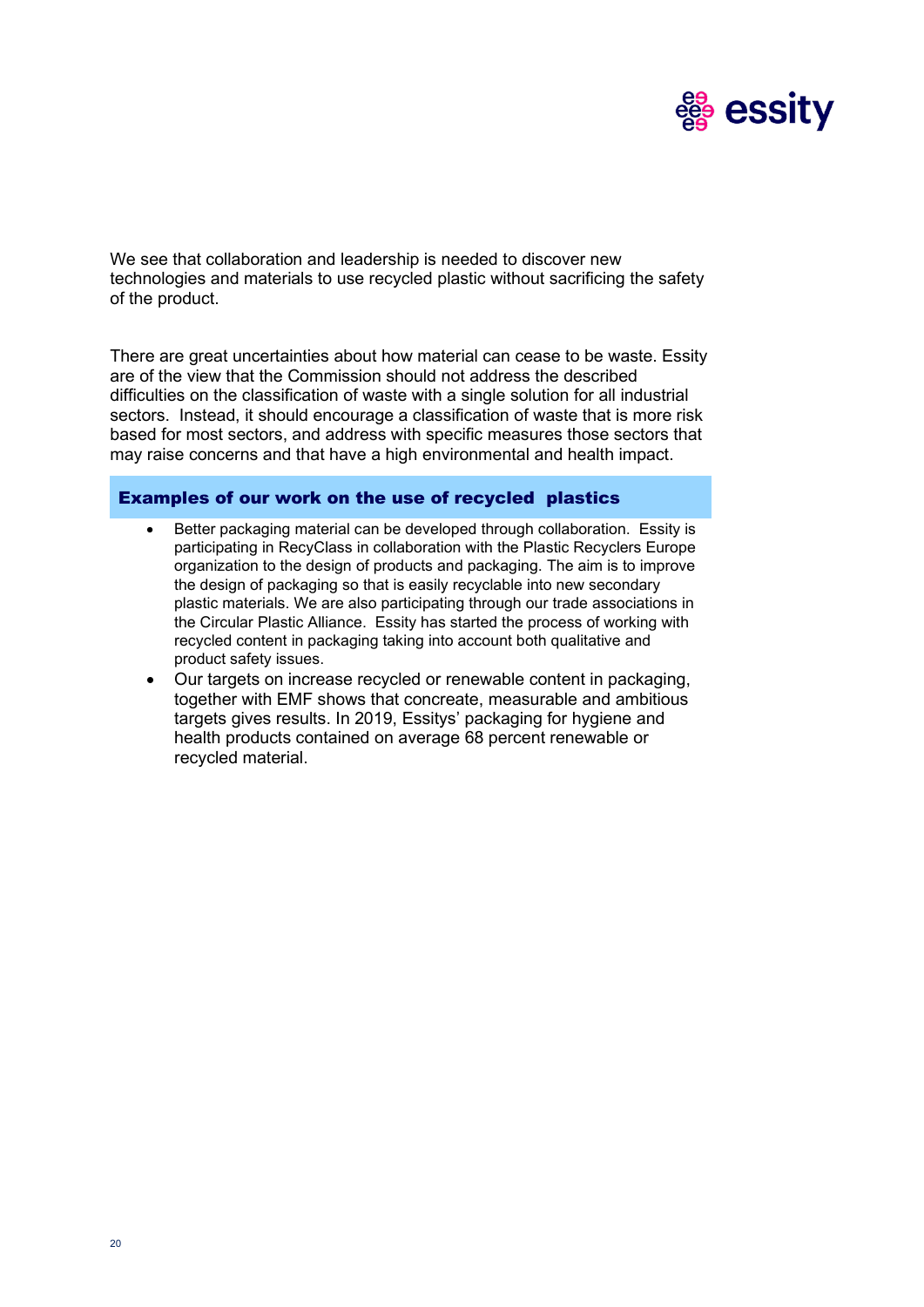

We see that collaboration and leadership is needed to discover new technologies and materials to use recycled plastic without sacrificing the safety of the product.

There are great uncertainties about how material can cease to be waste. Essity are of the view that the Commission should not address the described difficulties on the classification of waste with a single solution for all industrial sectors. Instead, it should encourage a classification of waste that is more risk based for most sectors, and address with specific measures those sectors that may raise concerns and that have a high environmental and health impact.

#### Examples of our work on the use of recycled plastics

- Better packaging material can be developed through collaboration. Essity is participating in RecyClass in collaboration with the Plastic Recyclers Europe organization to the design of products and packaging. The aim is to improve the design of packaging so that is easily recyclable into new secondary plastic materials. We are also participating through our trade associations in the Circular Plastic Alliance. Essity has started the process of working with recycled content in packaging taking into account both qualitative and product safety issues.
- Our targets on increase recycled or renewable content in packaging, together with EMF shows that concreate, measurable and ambitious targets gives results. In 2019, Essitys' packaging for hygiene and health products contained on average 68 percent renewable or recycled material.